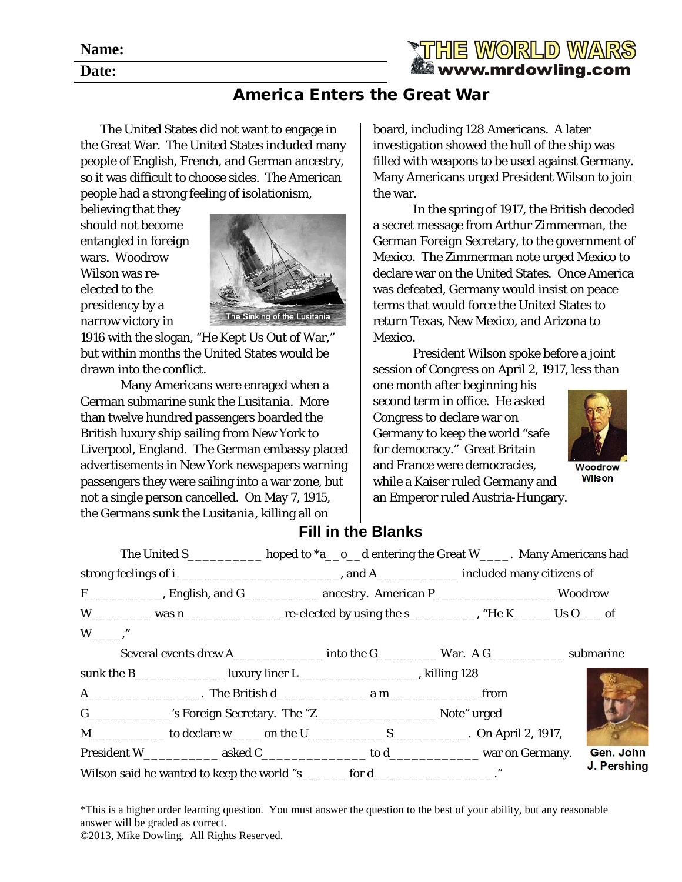**Name:**

**Date:**



## America Enters the Great War

The United States did not want to engage in the Great War. The United States included many people of English, French, and German ancestry, so it was difficult to choose sides. The American people had a strong feeling of isolationism,

believing that they should not become entangled in foreign wars. Woodrow Wilson was reelected to the presidency by a narrow victory in



1916 with the slogan, "He Kept Us Out of War," but within months the United States would be drawn into the conflict.

Many Americans were enraged when a German submarine sunk the *Lusitania*. More than twelve hundred passengers boarded the British luxury ship sailing from New York to Liverpool, England. The German embassy placed advertisements in New York newspapers warning passengers they were sailing into a war zone, but not a single person cancelled. On May 7, 1915, the Germans sunk the *Lusitania*, killing all on

board, including 128 Americans. A later investigation showed the hull of the ship was filled with weapons to be used against Germany. Many Americans urged President Wilson to join the war.

In the spring of 1917, the British decoded a secret message from Arthur Zimmerman, the German Foreign Secretary, to the government of Mexico. The Zimmerman note urged Mexico to declare war on the United States. Once America was defeated, Germany would insist on peace terms that would force the United States to return Texas, New Mexico, and Arizona to Mexico.

President Wilson spoke before a joint session of Congress on April 2, 1917, less than

one month after beginning his second term in office. He asked Congress to declare war on Germany to keep the world "safe for democracy." Great Britain and France were democracies, while a Kaiser ruled Germany and an Emperor ruled Austria-Hungary.



Woodrow **Wilson** 

## **Fill in the Blanks**

|                                                                                                    | The United S____________ hoped to *a__o__d entering the Great W_____. Many Americans had                        |  |  |  |  |             |  |
|----------------------------------------------------------------------------------------------------|-----------------------------------------------------------------------------------------------------------------|--|--|--|--|-------------|--|
|                                                                                                    |                                                                                                                 |  |  |  |  |             |  |
|                                                                                                    | F_____________, English, and G______________ ancestry. American P_______________________ Woodrow                |  |  |  |  |             |  |
|                                                                                                    | W______________ was n______________________ re-elected by using the s_____________, "He K_________ Us O_____ of |  |  |  |  |             |  |
| $W \qquad$ ."                                                                                      |                                                                                                                 |  |  |  |  |             |  |
| Several events drew A__________________ into the G______________ War. A G_______________ submarine |                                                                                                                 |  |  |  |  |             |  |
|                                                                                                    | sunk the B____________________ luxury liner L_____________________________, killing 128                         |  |  |  |  |             |  |
|                                                                                                    |                                                                                                                 |  |  |  |  |             |  |
|                                                                                                    |                                                                                                                 |  |  |  |  |             |  |
|                                                                                                    |                                                                                                                 |  |  |  |  |             |  |
|                                                                                                    |                                                                                                                 |  |  |  |  | Gen. John   |  |
| Wilson said he wanted to keep the world "s_______ for d___________________."                       |                                                                                                                 |  |  |  |  | J. Pershing |  |

\*This is a higher order learning question. You must answer the question to the best of your ability, but any reasonable answer will be graded as correct. ©2013, Mike Dowling. All Rights Reserved.